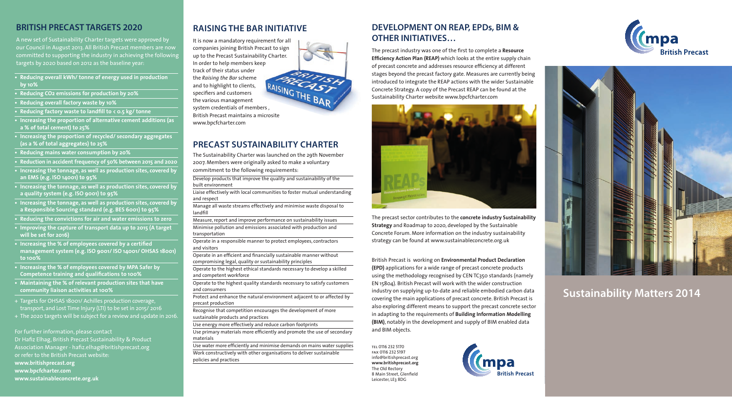## **BRITISH PRECAST TARGETS 2020**

A new set of Sustainability Charter targets were approved by our Council in August 2013. All British Precast members are now committed to supporting the industry in achieving the following targets by 2020 based on 2012 as the baseline year:

- **• Reducing overall kWh/ tonne of energy used in production by 10%**
- **• Reducing CO2 emissions for production by 20%**
- **• Reducing overall factory waste by 10%**
- **• Reducing factory waste to landfill to < 0.5 kg/ tonne**
- **• Increasing the proportion of alternative cement additions (as a % of total cement) to 25%**
- **• Increasing the proportion of recycled/ secondary aggregates (as a % of total aggregates) to 25%**
- **• Reducing mains water consumption by 20%**
- **• Reduction in accident frequency of 50% between 2015 and 2020**
- **• Increasing the tonnage, as well as production sites, covered by an EMS (e.g. ISO 14001) to 95%**
- **• Increasing the tonnage, as well as production sites, covered by a quality system (e.g. ISO 9001) to 95%**
- **• Increasing the tonnage, as well as production sites, covered by a Responsible Sourcing standard (e.g. BES 6001) to 95%**
- **• Reducing the convictions for air and water emissions to zero**
- **• Improving the capture of transport data up to 2015 (A target will be set for 2016)**
- **• Increasing the % of employees covered by a certified management system (e.g. ISO 9001/ ISO 14001/ OHSAS 18001) to 100%**
- **• Increasing the % of employees covered by MPA Safer by Competence training and qualifications to 100%**
- **• Maintaining the % of relevant production sites that have community liaison activities at 100%**
- + Targets for OHSAS 18001/ Achilles production coverage, transport, and Lost Time Injury (LTI) to be set in 2015/ 2016
- + The 2020 targets will be subject for a review and update in 2016.

For further information, please contact Dr Hafiz Elhag, British Precast Sustainability & Product Association Manager - hafiz.elhag@britishprecast.org or refer to the British Precast website: **www.britishprecast.org www.bpcfcharter.com www.sustainableconcrete.org.uk** 

## **RAISING THE BAR INITIATIVE**

It is now a mandatory requirement for all companies joining British Precast to sign up to the Precast Sustainability Charter. In order to help members keep track of their status under the *Raising the Bar* scheme and to highlight to clients, specifiers and customers the various management specifiers and customers<br>specifiers and customers<br>the various management<br>system credentials of members , British Precast maintains a microsite www.bpcfcharter.com

## **PRECAST SUSTAINABILITY CHARTER**

The Sustainability Charter was launched on the 29th November 2007. Members were originally asked to make a voluntary commitment to the following requirements:

Develop products that improve the quality and sustainability of the built environment

Liaise effectively with local communities to foster mutual understanding and respect

Manage all waste streams effectively and minimise waste disposal to landfill

Measure, report and improve performance on sustainability issues Minimise pollution and emissions associated with production and transportation

Operate in a responsible manner to protect employees, contractors and visitors

Operate in an efficient and financially sustainable manner without compromising legal, quality or sustainability principles

- Operate to the highest ethical standards necessary to develop a skilled and competent workforce
- Operate to the highest quality standards necessary to satisfy customers and consumers

Protect and enhance the natural environment adjacent to or affected by precast production

Recognise that competition encourages the development of more sustainable products and practices

Use energy more effectively and reduce carbon footprints

Use primary materials more efficiently and promote the use of secondary materials

Use water more efficiently and minimise demands on mains water supplies Work constructively with other organisations to deliver sustainable policies and practices

## **DEVELOPMENT ON REAP, EPDs, BIM & OTHER INITIATIVES…**

The precast industry was one of the first to complete a **Resource Efficiency Action Plan (REAP)** which looks at the entire supply chain of precast concrete and addresses resource efficiency at different stages beyond the precast factory gate. Measures are currently being introduced to integrate the REAP actions with the wider Sustainable Concrete Strategy. A copy of the Precast REAP can be found at the Sustainability Charter website www.bpcfcharter.com



The precast sector contributes to the **concrete industry Sustainability Strategy** and Roadmap to 2020, developed by the Sustainable Concrete Forum. More information on the industry sustainability strategy can be found at www.sustainableconcrete.org.uk

British Precast is working on **Environmental Product Declaration (EPD)** applications for a wide range of precast concrete products using the methodology recognised by CEN TC350 standards (namely EN 15804). British Precast will work with the wider construction industry on supplying up-to-date and reliable embodied carbon data covering the main applications of precast concrete. British Precast is also exploring different means to support the precast concrete sector also exploring different means to support the precast concrete sector<br>
in adapting to the requirements of **Building Information Modelling (BIM)**, notably in the development and supply of BIM enabled data and BIM objects.

> tel 0116 232 5170 fax 0116 232 5197 info@britishprecast.org **www.britishprecast.org** The Old Rectory 8 Main Street, Glenfield Leicester, LE3 8DG







## **Sustainability Matters 2014**